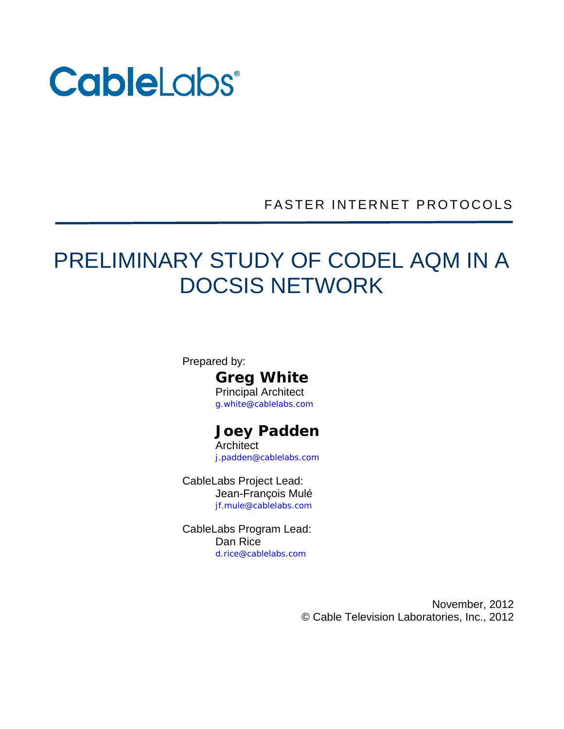# **CableLabs®**

## FASTER INTERNET PROTOCOLS

# PRELIMINARY STUDY OF CODEL AQM IN A DOCSIS NETWORK

Prepared by: **Greg White**

Principal Architect g.white@cablelabs.com

## **Joey Padden**

Architect j.padden@cablelabs.com

CableLabs Project Lead: Jean-François Mulé jf.mule@cablelabs.com

CableLabs Program Lead: Dan Rice d.rice@cablelabs.com

> November, 2012 © Cable Television Laboratories, Inc., 2012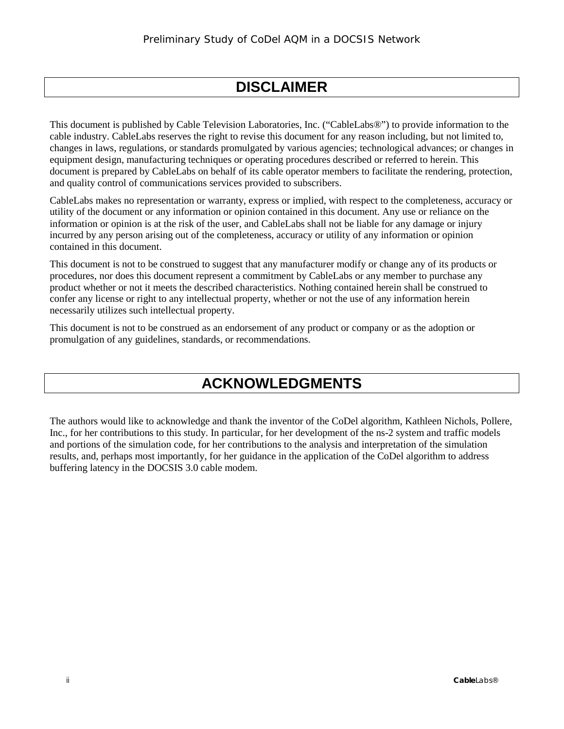## **DISCLAIMER**

This document is published by Cable Television Laboratories, Inc. ("CableLabs®") to provide information to the cable industry. CableLabs reserves the right to revise this document for any reason including, but not limited to, changes in laws, regulations, or standards promulgated by various agencies; technological advances; or changes in equipment design, manufacturing techniques or operating procedures described or referred to herein. This document is prepared by CableLabs on behalf of its cable operator members to facilitate the rendering, protection, and quality control of communications services provided to subscribers.

CableLabs makes no representation or warranty, express or implied, with respect to the completeness, accuracy or utility of the document or any information or opinion contained in this document. Any use or reliance on the information or opinion is at the risk of the user, and CableLabs shall not be liable for any damage or injury incurred by any person arising out of the completeness, accuracy or utility of any information or opinion contained in this document.

This document is not to be construed to suggest that any manufacturer modify or change any of its products or procedures, nor does this document represent a commitment by CableLabs or any member to purchase any product whether or not it meets the described characteristics. Nothing contained herein shall be construed to confer any license or right to any intellectual property, whether or not the use of any information herein necessarily utilizes such intellectual property.

This document is not to be construed as an endorsement of any product or company or as the adoption or promulgation of any guidelines, standards, or recommendations.

## **ACKNOWLEDGMENTS**

The authors would like to acknowledge and thank the inventor of the CoDel algorithm, Kathleen Nichols, Pollere, Inc., for her contributions to this study. In particular, for her development of the ns-2 system and traffic models and portions of the simulation code, for her contributions to the analysis and interpretation of the simulation results, and, perhaps most importantly, for her guidance in the application of the CoDel algorithm to address buffering latency in the DOCSIS 3.0 cable modem.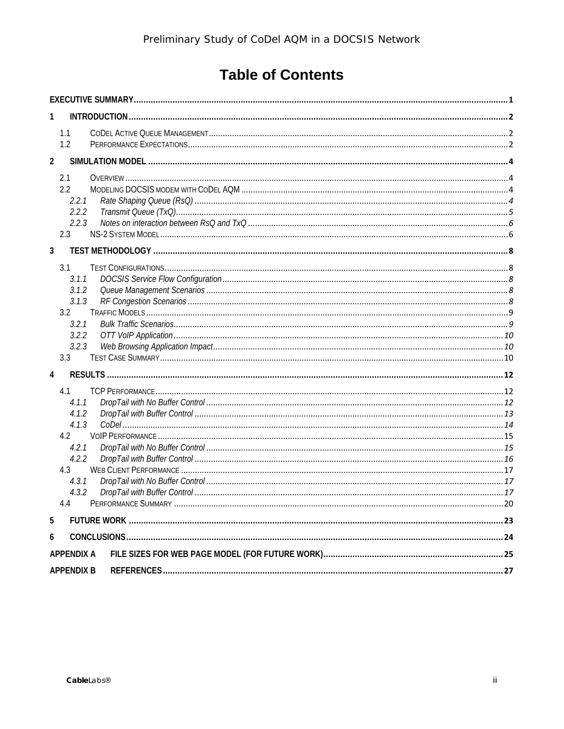# **Table of Contents**

| 1              |                                                                                   |  |
|----------------|-----------------------------------------------------------------------------------|--|
|                | 1.1<br>1.2                                                                        |  |
| $\overline{2}$ |                                                                                   |  |
|                | 2.1<br>2.2<br>2.2.1<br>2.2.2<br>2.2.3<br>2.3                                      |  |
| 3              |                                                                                   |  |
|                | 3.1<br>3.1.1<br>3.1.2<br>3.1.3<br>$3.2^{\circ}$<br>3.2.1<br>3.2.2<br>3.2.3<br>3.3 |  |
| $\overline{4}$ |                                                                                   |  |
|                | 4.1<br>4.1.1<br>4.1.2<br>4.1.3<br>4.2<br>4.2.1<br>4.2.2<br>4.3<br>4.3.1<br>4.3.2  |  |
|                | 4.4                                                                               |  |
| 5              |                                                                                   |  |
| 6              |                                                                                   |  |
|                | <b>APPENDIX A</b>                                                                 |  |
|                | <b>APPENDIX B</b>                                                                 |  |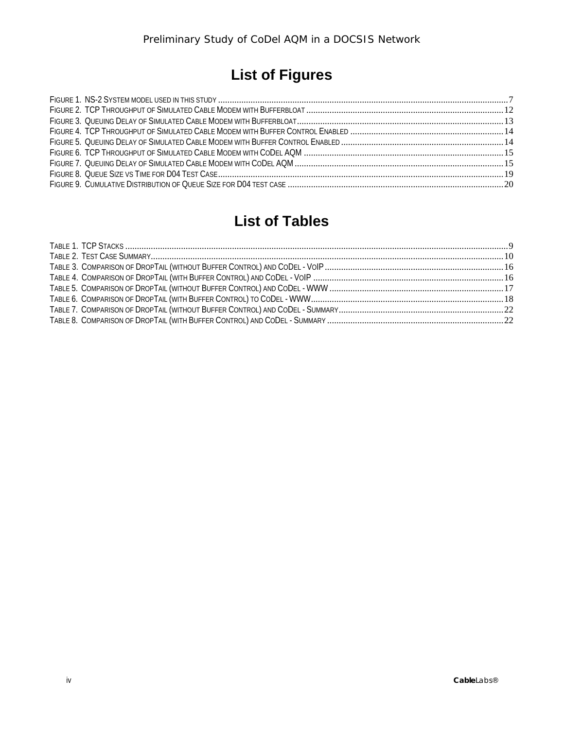# **List of Figures**

## **List of Tables**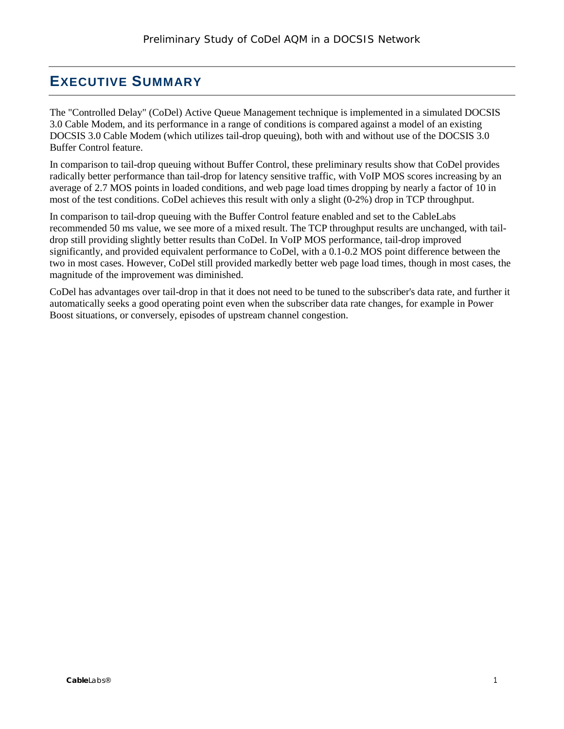## <span id="page-4-0"></span>**EXECUTIVE SUMMARY**

The "Controlled Delay" (CoDel) Active Queue Management technique is implemented in a simulated DOCSIS 3.0 Cable Modem, and its performance in a range of conditions is compared against a model of an existing DOCSIS 3.0 Cable Modem (which utilizes tail-drop queuing), both with and without use of the DOCSIS 3.0 Buffer Control feature.

In comparison to tail-drop queuing without Buffer Control, these preliminary results show that CoDel provides radically better performance than tail-drop for latency sensitive traffic, with VoIP MOS scores increasing by an average of 2.7 MOS points in loaded conditions, and web page load times dropping by nearly a factor of 10 in most of the test conditions. CoDel achieves this result with only a slight (0-2%) drop in TCP throughput.

In comparison to tail-drop queuing with the Buffer Control feature enabled and set to the CableLabs recommended 50 ms value, we see more of a mixed result. The TCP throughput results are unchanged, with taildrop still providing slightly better results than CoDel. In VoIP MOS performance, tail-drop improved significantly, and provided equivalent performance to CoDel, with a 0.1-0.2 MOS point difference between the two in most cases. However, CoDel still provided markedly better web page load times, though in most cases, the magnitude of the improvement was diminished.

CoDel has advantages over tail-drop in that it does not need to be tuned to the subscriber's data rate, and further it automatically seeks a good operating point even when the subscriber data rate changes, for example in Power Boost situations, or conversely, episodes of upstream channel congestion.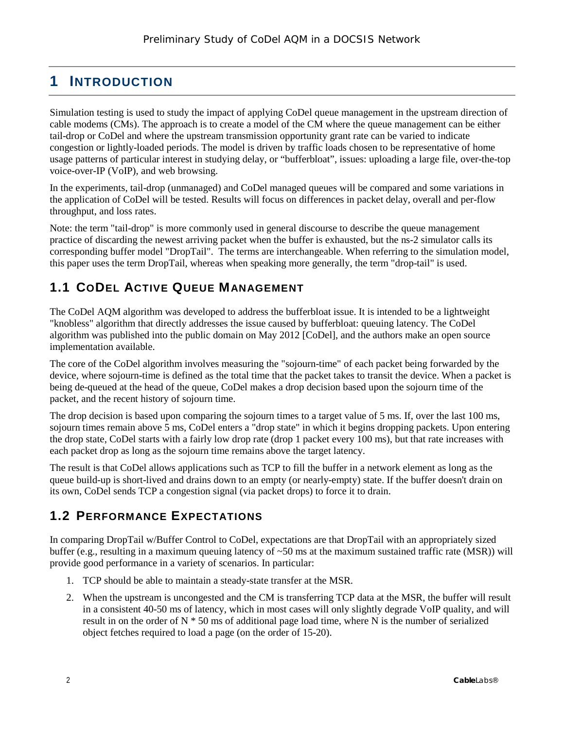## <span id="page-5-0"></span>**1 INTRODUCTION**

Simulation testing is used to study the impact of applying CoDel queue management in the upstream direction of cable modems (CMs). The approach is to create a model of the CM where the queue management can be either tail-drop or CoDel and where the upstream transmission opportunity grant rate can be varied to indicate congestion or lightly-loaded periods. The model is driven by traffic loads chosen to be representative of home usage patterns of particular interest in studying delay, or "bufferbloat", issues: uploading a large file, over-the-top voice-over-IP (VoIP), and web browsing.

In the experiments, tail-drop (unmanaged) and CoDel managed queues will be compared and some variations in the application of CoDel will be tested. Results will focus on differences in packet delay, overall and per-flow throughput, and loss rates.

Note: the term "tail-drop" is more commonly used in general discourse to describe the queue management practice of discarding the newest arriving packet when the buffer is exhausted, but the ns-2 simulator calls its corresponding buffer model "DropTail". The terms are interchangeable. When referring to the simulation model, this paper uses the term DropTail, whereas when speaking more generally, the term "drop-tail" is used.

## <span id="page-5-1"></span>**1.1 CODEL ACTIVE QUEUE MANAGEMENT**

The CoDel AQM algorithm was developed to address the bufferbloat issue. It is intended to be a lightweight "knobless" algorithm that directly addresses the issue caused by bufferbloat: queuing latency. The CoDel algorithm was published into the public domain on May 2012 [\[CoDel\],](#page-30-1) and the authors make an open source implementation available.

The core of the CoDel algorithm involves measuring the "sojourn-time" of each packet being forwarded by the device, where sojourn-time is defined as the total time that the packet takes to transit the device. When a packet is being de-queued at the head of the queue, CoDel makes a drop decision based upon the sojourn time of the packet, and the recent history of sojourn time.

The drop decision is based upon comparing the sojourn times to a target value of 5 ms. If, over the last 100 ms, sojourn times remain above 5 ms, CoDel enters a "drop state" in which it begins dropping packets. Upon entering the drop state, CoDel starts with a fairly low drop rate (drop 1 packet every 100 ms), but that rate increases with each packet drop as long as the sojourn time remains above the target latency.

The result is that CoDel allows applications such as TCP to fill the buffer in a network element as long as the queue build-up is short-lived and drains down to an empty (or nearly-empty) state. If the buffer doesn't drain on its own, CoDel sends TCP a congestion signal (via packet drops) to force it to drain.

#### <span id="page-5-2"></span>**1.2 PERFORMANCE EXPECTATIONS**

In comparing DropTail w/Buffer Control to CoDel, expectations are that DropTail with an appropriately sized buffer (e.g., resulting in a maximum queuing latency of  $\sim 50$  ms at the maximum sustained traffic rate (MSR)) will provide good performance in a variety of scenarios. In particular:

- 1. TCP should be able to maintain a steady-state transfer at the MSR.
- 2. When the upstream is uncongested and the CM is transferring TCP data at the MSR, the buffer will result in a consistent 40-50 ms of latency, which in most cases will only slightly degrade VoIP quality, and will result in on the order of N \* 50 ms of additional page load time, where N is the number of serialized object fetches required to load a page (on the order of 15-20).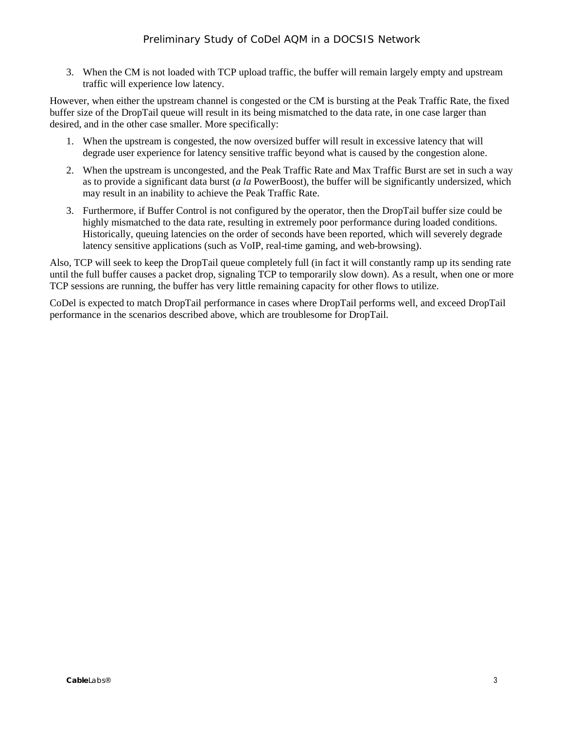3. When the CM is not loaded with TCP upload traffic, the buffer will remain largely empty and upstream traffic will experience low latency.

However, when either the upstream channel is congested or the CM is bursting at the Peak Traffic Rate, the fixed buffer size of the DropTail queue will result in its being mismatched to the data rate, in one case larger than desired, and in the other case smaller. More specifically:

- 1. When the upstream is congested, the now oversized buffer will result in excessive latency that will degrade user experience for latency sensitive traffic beyond what is caused by the congestion alone.
- 2. When the upstream is uncongested, and the Peak Traffic Rate and Max Traffic Burst are set in such a way as to provide a significant data burst (*a la* PowerBoost), the buffer will be significantly undersized, which may result in an inability to achieve the Peak Traffic Rate.
- 3. Furthermore, if Buffer Control is not configured by the operator, then the DropTail buffer size could be highly mismatched to the data rate, resulting in extremely poor performance during loaded conditions. Historically, queuing latencies on the order of seconds have been reported, which will severely degrade latency sensitive applications (such as VoIP, real-time gaming, and web-browsing).

Also, TCP will seek to keep the DropTail queue completely full (in fact it will constantly ramp up its sending rate until the full buffer causes a packet drop, signaling TCP to temporarily slow down). As a result, when one or more TCP sessions are running, the buffer has very little remaining capacity for other flows to utilize.

CoDel is expected to match DropTail performance in cases where DropTail performs well, and exceed DropTail performance in the scenarios described above, which are troublesome for DropTail.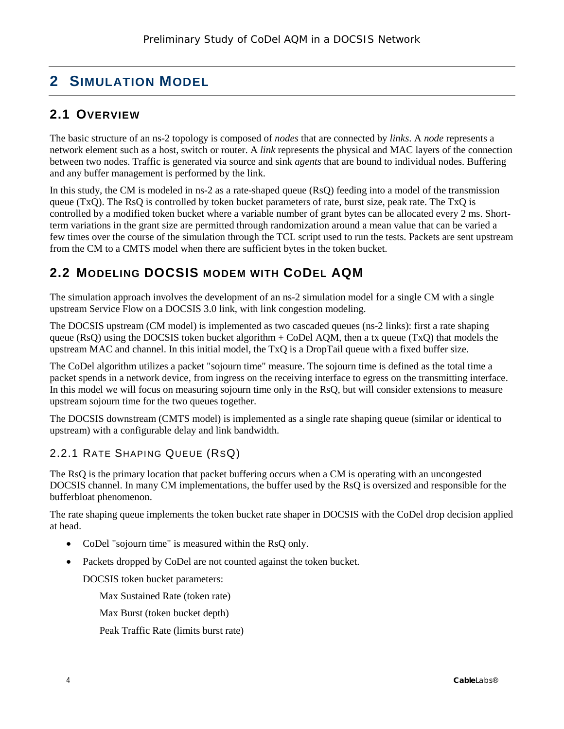## <span id="page-7-0"></span>**2 SIMULATION MODEL**

## <span id="page-7-1"></span>**2.1 OVERVIEW**

The basic structure of an ns-2 topology is composed of *nodes* that are connected by *links*. A *node* represents a network element such as a host, switch or router. A *link* represents the physical and MAC layers of the connection between two nodes. Traffic is generated via source and sink *agents* that are bound to individual nodes. Buffering and any buffer management is performed by the link.

In this study, the CM is modeled in ns-2 as a rate-shaped queue (RsQ) feeding into a model of the transmission queue (TxQ). The RsQ is controlled by token bucket parameters of rate, burst size, peak rate. The TxQ is controlled by a modified token bucket where a variable number of grant bytes can be allocated every 2 ms. Shortterm variations in the grant size are permitted through randomization around a mean value that can be varied a few times over the course of the simulation through the TCL script used to run the tests. Packets are sent upstream from the CM to a CMTS model when there are sufficient bytes in the token bucket.

## <span id="page-7-2"></span>**2.2 MODELING DOCSIS MODEM WITH CODEL AQM**

The simulation approach involves the development of an ns-2 simulation model for a single CM with a single upstream Service Flow on a DOCSIS 3.0 link, with link congestion modeling.

The DOCSIS upstream (CM model) is implemented as two cascaded queues (ns-2 links): first a rate shaping queue (RsQ) using the DOCSIS token bucket algorithm  $+$  CoDel AQM, then a tx queue (TxQ) that models the upstream MAC and channel. In this initial model, the TxQ is a DropTail queue with a fixed buffer size.

The CoDel algorithm utilizes a packet "sojourn time" measure. The sojourn time is defined as the total time a packet spends in a network device, from ingress on the receiving interface to egress on the transmitting interface. In this model we will focus on measuring sojourn time only in the RsQ, but will consider extensions to measure upstream sojourn time for the two queues together.

The DOCSIS downstream (CMTS model) is implemented as a single rate shaping queue (similar or identical to upstream) with a configurable delay and link bandwidth.

#### <span id="page-7-3"></span>2.2.1 RATE SHAPING QUEUE (RSQ)

The RsQ is the primary location that packet buffering occurs when a CM is operating with an uncongested DOCSIS channel. In many CM implementations, the buffer used by the RsQ is oversized and responsible for the bufferbloat phenomenon.

The rate shaping queue implements the token bucket rate shaper in DOCSIS with the CoDel drop decision applied at head.

- CoDel "sojourn time" is measured within the RsQ only.
- Packets dropped by CoDel are not counted against the token bucket.

DOCSIS token bucket parameters:

Max Sustained Rate (token rate)

Max Burst (token bucket depth)

Peak Traffic Rate (limits burst rate)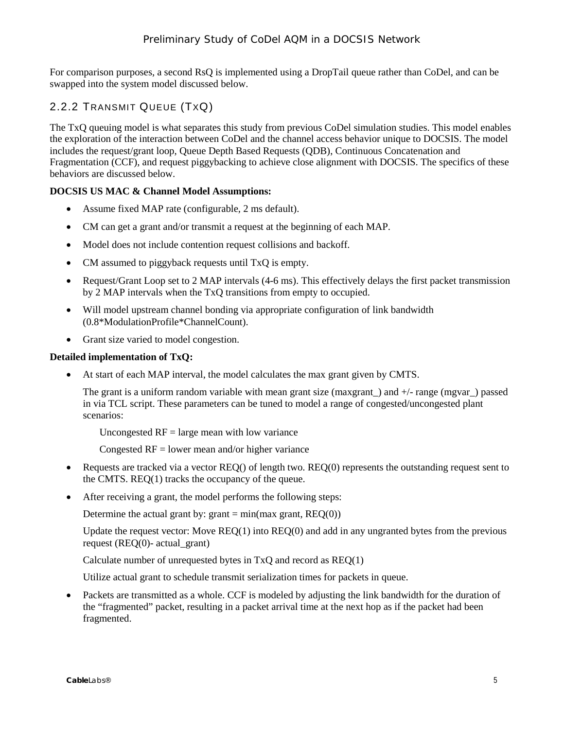For comparison purposes, a second RsQ is implemented using a DropTail queue rather than CoDel, and can be swapped into the system model discussed below.

#### <span id="page-8-0"></span>2.2.2 TRANSMIT QUEUE (TXQ)

The TxQ queuing model is what separates this study from previous CoDel simulation studies. This model enables the exploration of the interaction between CoDel and the channel access behavior unique to DOCSIS. The model includes the request/grant loop, Queue Depth Based Requests (QDB), Continuous Concatenation and Fragmentation (CCF), and request piggybacking to achieve close alignment with DOCSIS. The specifics of these behaviors are discussed below.

#### **DOCSIS US MAC & Channel Model Assumptions:**

- Assume fixed MAP rate (configurable, 2 ms default).
- CM can get a grant and/or transmit a request at the beginning of each MAP.
- Model does not include contention request collisions and backoff.
- CM assumed to piggyback requests until TxO is empty.
- Request/Grant Loop set to 2 MAP intervals (4-6 ms). This effectively delays the first packet transmission by 2 MAP intervals when the TxQ transitions from empty to occupied.
- Will model upstream channel bonding via appropriate configuration of link bandwidth (0.8\*ModulationProfile\*ChannelCount).
- Grant size varied to model congestion.

#### **Detailed implementation of TxQ:**

• At start of each MAP interval, the model calculates the max grant given by CMTS.

The grant is a uniform random variable with mean grant size (maxgrant) and  $+/-$  range (mgvar) passed in via TCL script. These parameters can be tuned to model a range of congested/uncongested plant scenarios:

Uncongested  $RF = large$  mean with low variance

Congested  $RF = lower$  mean and/or higher variance

- Requests are tracked via a vector REQ() of length two. REQ(0) represents the outstanding request sent to the CMTS. REQ(1) tracks the occupancy of the queue.
- After receiving a grant, the model performs the following steps:

Determine the actual grant by: grant = min(max grant,  $REQ(0)$ )

Update the request vector: Move  $REQ(1)$  into  $REQ(0)$  and add in any ungranted bytes from the previous request ( $RED(0)$ - actual grant)

Calculate number of unrequested bytes in TxQ and record as REQ(1)

Utilize actual grant to schedule transmit serialization times for packets in queue.

• Packets are transmitted as a whole. CCF is modeled by adjusting the link bandwidth for the duration of the "fragmented" packet, resulting in a packet arrival time at the next hop as if the packet had been fragmented.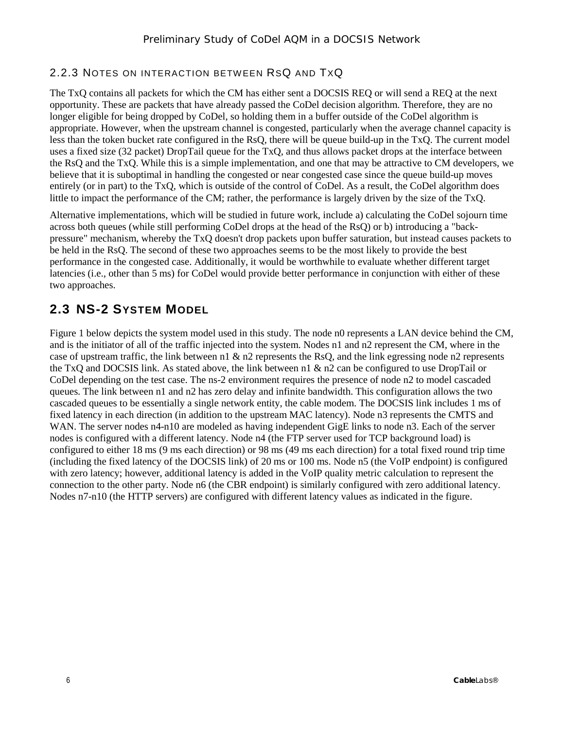#### <span id="page-9-0"></span>2.2.3 NOTES ON INTERACTION BETWEEN RSQ AND TXQ

The TxQ contains all packets for which the CM has either sent a DOCSIS REQ or will send a REQ at the next opportunity. These are packets that have already passed the CoDel decision algorithm. Therefore, they are no longer eligible for being dropped by CoDel, so holding them in a buffer outside of the CoDel algorithm is appropriate. However, when the upstream channel is congested, particularly when the average channel capacity is less than the token bucket rate configured in the RsQ, there will be queue build-up in the TxQ. The current model uses a fixed size (32 packet) DropTail queue for the TxQ, and thus allows packet drops at the interface between the RsQ and the TxQ. While this is a simple implementation, and one that may be attractive to CM developers, we believe that it is suboptimal in handling the congested or near congested case since the queue build-up moves entirely (or in part) to the TxQ, which is outside of the control of CoDel. As a result, the CoDel algorithm does little to impact the performance of the CM; rather, the performance is largely driven by the size of the TxQ.

Alternative implementations, which will be studied in future work, include a) calculating the CoDel sojourn time across both queues (while still performing CoDel drops at the head of the RsQ) or b) introducing a "backpressure" mechanism, whereby the TxQ doesn't drop packets upon buffer saturation, but instead causes packets to be held in the RsQ. The second of these two approaches seems to be the most likely to provide the best performance in the congested case. Additionally, it would be worthwhile to evaluate whether different target latencies (i.e., other than 5 ms) for CoDel would provide better performance in conjunction with either of these two approaches.

#### <span id="page-9-1"></span>**2.3 NS-2 SYSTEM MODEL**

[Figure 1](#page-10-0) below depicts the system model used in this study. The node n0 represents a LAN device behind the CM, and is the initiator of all of the traffic injected into the system. Nodes n1 and n2 represent the CM, where in the case of upstream traffic, the link between n1  $\&$  n2 represents the RsO, and the link egressing node n2 represents the TxQ and DOCSIS link. As stated above, the link between n1 & n2 can be configured to use DropTail or CoDel depending on the test case. The ns-2 environment requires the presence of node n2 to model cascaded queues. The link between n1 and n2 has zero delay and infinite bandwidth. This configuration allows the two cascaded queues to be essentially a single network entity, the cable modem. The DOCSIS link includes 1 ms of fixed latency in each direction (in addition to the upstream MAC latency). Node n3 represents the CMTS and WAN. The server nodes n4-n10 are modeled as having independent GigE links to node n3. Each of the server nodes is configured with a different latency. Node n4 (the FTP server used for TCP background load) is configured to either 18 ms (9 ms each direction) or 98 ms (49 ms each direction) for a total fixed round trip time (including the fixed latency of the DOCSIS link) of 20 ms or 100 ms. Node n5 (the VoIP endpoint) is configured with zero latency; however, additional latency is added in the VoIP quality metric calculation to represent the connection to the other party. Node n6 (the CBR endpoint) is similarly configured with zero additional latency. Nodes n7-n10 (the HTTP servers) are configured with different latency values as indicated in the figure.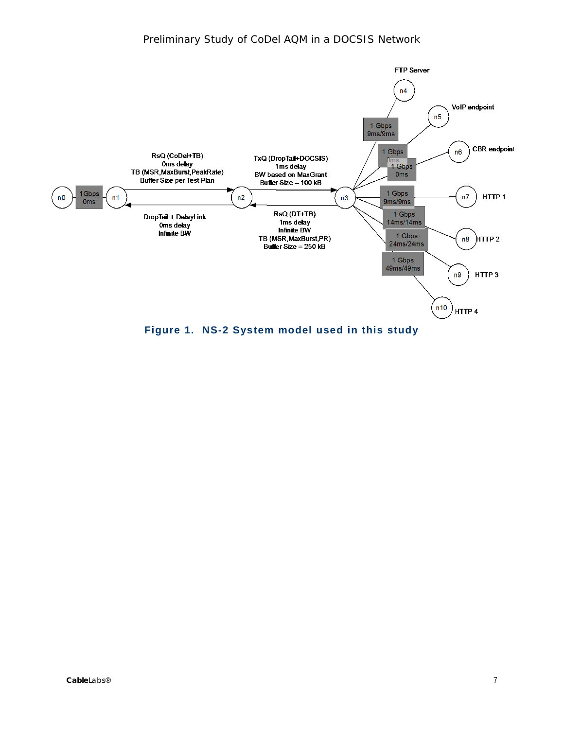

<span id="page-10-0"></span>**Figure 1. NS-2 System model used in this study**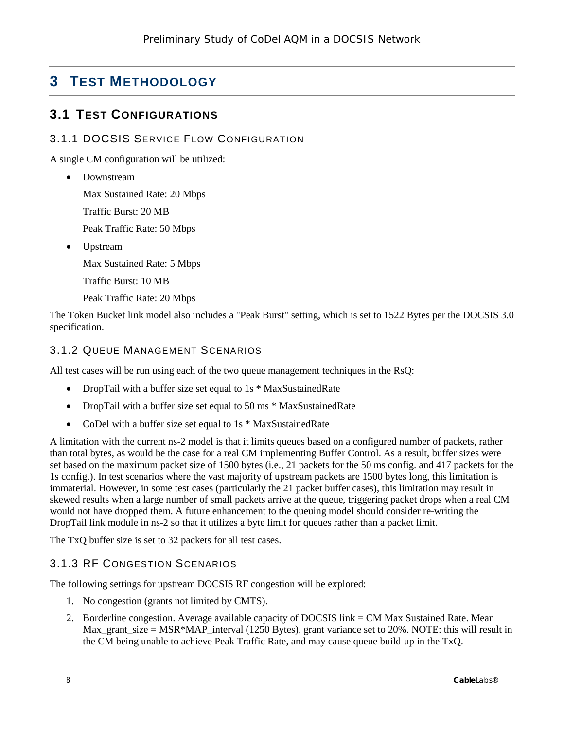## <span id="page-11-0"></span>**3 TEST METHODOLOGY**

#### <span id="page-11-1"></span>**3.1 TEST CONFIGURATIONS**

#### <span id="page-11-2"></span>3.1.1 DOCSIS SERVICE FLOW CONFIGURATION

A single CM configuration will be utilized:

• Downstream

Max Sustained Rate: 20 Mbps

- Traffic Burst: 20 MB
- Peak Traffic Rate: 50 Mbps
- Upstream

Max Sustained Rate: 5 Mbps

- Traffic Burst: 10 MB
- Peak Traffic Rate: 20 Mbps

The Token Bucket link model also includes a "Peak Burst" setting, which is set to 1522 Bytes per the DOCSIS 3.0 specification.

#### <span id="page-11-3"></span>3.1.2 QUEUE MANAGEMENT SCENARIOS

All test cases will be run using each of the two queue management techniques in the RsQ:

- DropTail with a buffer size set equal to 1s \* MaxSustainedRate
- DropTail with a buffer size set equal to 50 ms  $*$  MaxSustainedRate
- CoDel with a buffer size set equal to 1s \* MaxSustainedRate

A limitation with the current ns-2 model is that it limits queues based on a configured number of packets, rather than total bytes, as would be the case for a real CM implementing Buffer Control. As a result, buffer sizes were set based on the maximum packet size of 1500 bytes (i.e., 21 packets for the 50 ms config. and 417 packets for the 1s config.). In test scenarios where the vast majority of upstream packets are 1500 bytes long, this limitation is immaterial. However, in some test cases (particularly the 21 packet buffer cases), this limitation may result in skewed results when a large number of small packets arrive at the queue, triggering packet drops when a real CM would not have dropped them. A future enhancement to the queuing model should consider re-writing the DropTail link module in ns-2 so that it utilizes a byte limit for queues rather than a packet limit.

The TxQ buffer size is set to 32 packets for all test cases.

#### <span id="page-11-4"></span>3.1.3 RF CONGESTION SCENARIOS

The following settings for upstream DOCSIS RF congestion will be explored:

- 1. No congestion (grants not limited by CMTS).
- 2. Borderline congestion. Average available capacity of DOCSIS link = CM Max Sustained Rate. Mean Max grant size = MSR\*MAP interval (1250 Bytes), grant variance set to 20%. NOTE: this will result in the CM being unable to achieve Peak Traffic Rate, and may cause queue build-up in the TxQ.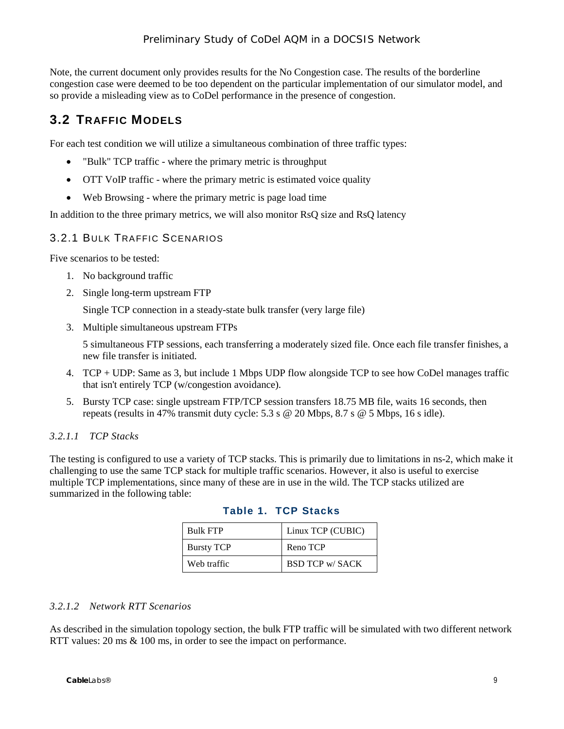Note, the current document only provides results for the No Congestion case. The results of the borderline congestion case were deemed to be too dependent on the particular implementation of our simulator model, and so provide a misleading view as to CoDel performance in the presence of congestion.

## <span id="page-12-0"></span>**3.2 TRAFFIC MODELS**

For each test condition we will utilize a simultaneous combination of three traffic types:

- "Bulk" TCP traffic where the primary metric is throughput
- OTT VoIP traffic where the primary metric is estimated voice quality
- Web Browsing where the primary metric is page load time

In addition to the three primary metrics, we will also monitor RsQ size and RsQ latency

#### <span id="page-12-1"></span>3.2.1 BULK TRAFFIC SCENARIOS

Five scenarios to be tested:

- 1. No background traffic
- 2. Single long-term upstream FTP

Single TCP connection in a steady-state bulk transfer (very large file)

3. Multiple simultaneous upstream FTPs

5 simultaneous FTP sessions, each transferring a moderately sized file. Once each file transfer finishes, a new file transfer is initiated.

- 4. TCP + UDP: Same as 3, but include 1 Mbps UDP flow alongside TCP to see how CoDel manages traffic that isn't entirely TCP (w/congestion avoidance).
- 5. Bursty TCP case: single upstream FTP/TCP session transfers 18.75 MB file, waits 16 seconds, then repeats (results in 47% transmit duty cycle:  $5.3$  s @ 20 Mbps,  $8.7$  s @ 5 Mbps, 16 s idle).

#### *3.2.1.1 TCP Stacks*

<span id="page-12-2"></span>The testing is configured to use a variety of TCP stacks. This is primarily due to limitations in ns-2, which make it challenging to use the same TCP stack for multiple traffic scenarios. However, it also is useful to exercise multiple TCP implementations, since many of these are in use in the wild. The TCP stacks utilized are summarized in the following table:

| <b>Bulk FTP</b>   | Linux TCP (CUBIC)      |  |  |  |  |  |
|-------------------|------------------------|--|--|--|--|--|
| <b>Bursty TCP</b> | Reno TCP               |  |  |  |  |  |
| Web traffic       | <b>BSD TCP w/ SACK</b> |  |  |  |  |  |

#### **Table 1. TCP Stacks**

#### *3.2.1.2 Network RTT Scenarios*

As described in the simulation topology section, the bulk FTP traffic will be simulated with two different network RTT values: 20 ms  $\&$  100 ms, in order to see the impact on performance.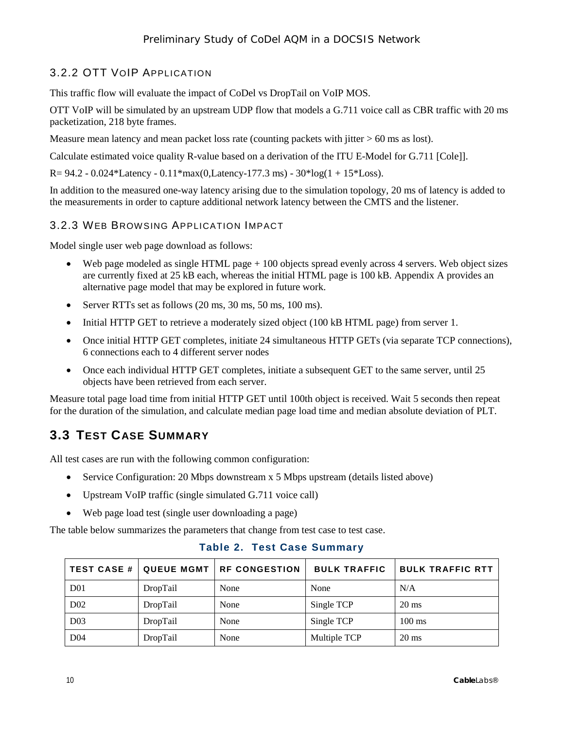#### <span id="page-13-0"></span>3.2.2 OTT VOIP APPLICATION

This traffic flow will evaluate the impact of CoDel vs DropTail on VoIP MOS.

OTT VoIP will be simulated by an upstream UDP flow that models a G.711 voice call as CBR traffic with 20 ms packetization, 218 byte frames.

Measure mean latency and mean packet loss rate (counting packets with jitter  $> 60$  ms as lost).

Calculate estimated voice quality R-value based on a derivation of the ITU E-Model for G.711 [\[Cole\]\]](#page-30-2).

 $R = 94.2 - 0.024 *$ Latency - 0.11\*max(0,Latency-177.3 ms) - 30\*log(1 + 15\*Loss).

In addition to the measured one-way latency arising due to the simulation topology, 20 ms of latency is added to the measurements in order to capture additional network latency between the CMTS and the listener.

#### <span id="page-13-1"></span>3.2.3 WEB BROWSING APPLICATION IMPACT

Model single user web page download as follows:

- Web page modeled as single HTML page + 100 objects spread evenly across 4 servers. Web object sizes are currently fixed at 25 kB each, whereas the initial HTML page is 100 kB. [Appendix A](#page-28-0) provides an alternative page model that may be explored in future work.
- Server RTTs set as follows (20 ms, 30 ms, 50 ms, 100 ms).
- Initial HTTP GET to retrieve a moderately sized object (100 kB HTML page) from server 1.
- Once initial HTTP GET completes, initiate 24 simultaneous HTTP GETs (via separate TCP connections), 6 connections each to 4 different server nodes
- Once each individual HTTP GET completes, initiate a subsequent GET to the same server, until 25 objects have been retrieved from each server.

Measure total page load time from initial HTTP GET until 100th object is received. Wait 5 seconds then repeat for the duration of the simulation, and calculate median page load time and median absolute deviation of PLT.

## <span id="page-13-2"></span>**3.3 TEST CASE SUMMARY**

All test cases are run with the following common configuration:

- Service Configuration: 20 Mbps downstream x 5 Mbps upstream (details listed above)
- Upstream VoIP traffic (single simulated G.711 voice call)
- Web page load test (single user downloading a page)

<span id="page-13-3"></span>The table below summarizes the parameters that change from test case to test case.

#### **Table 2. Test Case Summary**

| <b>TEST CASE #</b> | <b>QUEUE MGMT</b> | <b>RF CONGESTION</b> | <b>BULK TRAFFIC</b> | <b>BULK TRAFFIC RTT</b> |
|--------------------|-------------------|----------------------|---------------------|-------------------------|
| D <sub>01</sub>    | DropTail          | None                 | None                | N/A                     |
| D <sub>02</sub>    | DropTail          | None                 | Single TCP          | $20 \text{ ms}$         |
| D <sub>03</sub>    | DropTail          | None                 | Single TCP          | $100 \text{ ms}$        |
| D <sub>04</sub>    | DropTail          | None                 | Multiple TCP        | $20 \text{ ms}$         |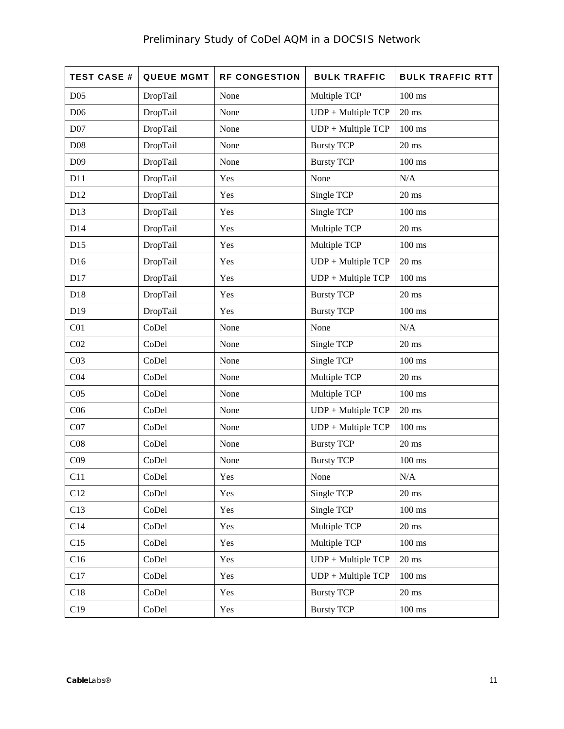| <b>TEST CASE #</b> | <b>QUEUE MGMT</b> | <b>RF CONGESTION</b> | <b>BULK TRAFFIC</b>  | <b>BULK TRAFFIC RTT</b> |
|--------------------|-------------------|----------------------|----------------------|-------------------------|
| D <sub>05</sub>    | DropTail          | None                 | Multiple TCP         | $100$ ms                |
| D <sub>06</sub>    | DropTail          | None                 | UDP + Multiple TCP   | $20 \text{ ms}$         |
| D07                | DropTail          | None                 | UDP + Multiple TCP   | $100$ ms                |
| D <sub>08</sub>    | DropTail          | None                 | <b>Bursty TCP</b>    | $20$ ms                 |
| D <sub>09</sub>    | DropTail          | None                 | <b>Bursty TCP</b>    | $100$ ms                |
| D11                | DropTail          | Yes                  | None                 | N/A                     |
| D12                | DropTail          | Yes                  | Single TCP           | $20$ ms                 |
| D13                | DropTail          | Yes                  | Single TCP           | $100$ ms                |
| D14                | DropTail          | Yes                  | Multiple TCP         | $20$ ms                 |
| D15                | DropTail          | Yes                  | Multiple TCP         | $100$ ms                |
| D16                | DropTail          | Yes                  | UDP + Multiple TCP   | $20$ ms                 |
| D17                | DropTail          | Yes                  | $UDP + Multiple TCP$ | $100$ ms                |
| D18                | DropTail          | Yes                  | <b>Bursty TCP</b>    | $20$ ms                 |
| D19                | DropTail          | Yes                  | <b>Bursty TCP</b>    | $100$ ms                |
| C <sub>01</sub>    | CoDel             | None                 | None                 | N/A                     |
| CO <sub>2</sub>    | CoDel             | None                 | Single TCP           | $20$ ms                 |
| CO <sub>3</sub>    | CoDel             | None                 | Single TCP           | $100$ ms                |
| CO <sub>4</sub>    | CoDel             | None                 | Multiple TCP         | $20 \text{ ms}$         |
| CO <sub>5</sub>    | CoDel             | None                 | Multiple TCP         | $100$ ms                |
| C <sub>06</sub>    | CoDel             | None                 | $UDP + Multiple TCP$ | $20$ ms                 |
| CO7                | CoDel             | None                 | UDP + Multiple TCP   | $100$ ms                |
| CO8                | CoDel             | None                 | <b>Bursty TCP</b>    | $20$ ms                 |
| C <sub>09</sub>    | CoDel             | None                 | <b>Bursty TCP</b>    | $100$ ms                |
| C11                | CoDel             | Yes                  | None                 | $\rm N/A$               |
| C12                | CoDel             | Yes                  | Single TCP           | $20$ ms                 |
| C13                | CoDel             | Yes                  | Single TCP           | $100$ ms                |
| C14                | CoDel             | Yes                  | Multiple TCP         | $20$ ms                 |
| C15                | CoDel             | Yes                  | Multiple TCP         | $100$ ms                |
| C16                | CoDel             | Yes                  | UDP + Multiple TCP   | $20$ ms                 |
| C17                | CoDel             | Yes                  | UDP + Multiple TCP   | $100$ ms                |
| C18                | CoDel             | Yes                  | <b>Bursty TCP</b>    | $20$ ms                 |
| C19                | CoDel             | Yes                  | <b>Bursty TCP</b>    | $100 \text{ ms}$        |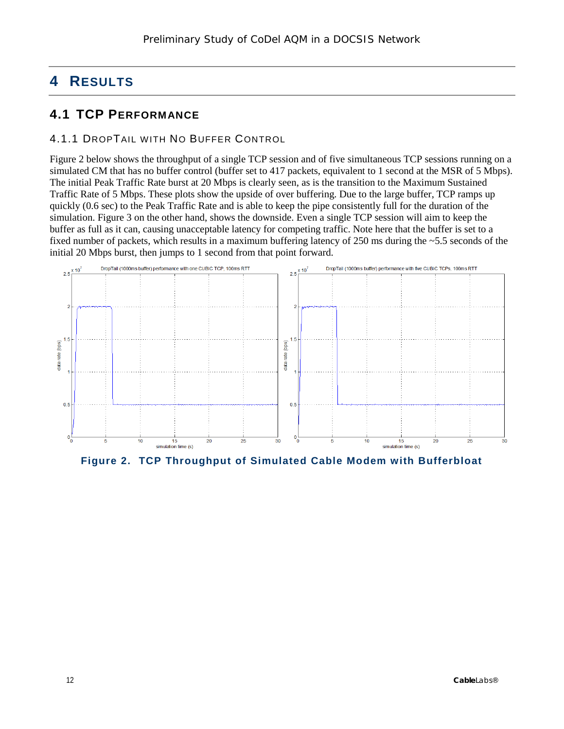## <span id="page-15-0"></span>**4 RESULTS**

#### <span id="page-15-1"></span>**4.1 TCP PERFORMANCE**

#### <span id="page-15-2"></span>4.1.1 DROPTAIL WITH NO BUFFER CONTROL

[Figure 2](#page-15-3) below shows the throughput of a single TCP session and of five simultaneous TCP sessions running on a simulated CM that has no buffer control (buffer set to 417 packets, equivalent to 1 second at the MSR of 5 Mbps). The initial Peak Traffic Rate burst at 20 Mbps is clearly seen, as is the transition to the Maximum Sustained Traffic Rate of 5 Mbps. These plots show the upside of over buffering. Due to the large buffer, TCP ramps up quickly (0.6 sec) to the Peak Traffic Rate and is able to keep the pipe consistently full for the duration of the simulation. [Figure 3](#page-16-1) on the other hand, shows the downside. Even a single TCP session will aim to keep the buffer as full as it can, causing unacceptable latency for competing traffic. Note here that the buffer is set to a fixed number of packets, which results in a maximum buffering latency of 250 ms during the ~5.5 seconds of the initial 20 Mbps burst, then jumps to 1 second from that point forward.



<span id="page-15-3"></span>**Figure 2. TCP Throughput of Simulated Cable Modem with Bufferbloat**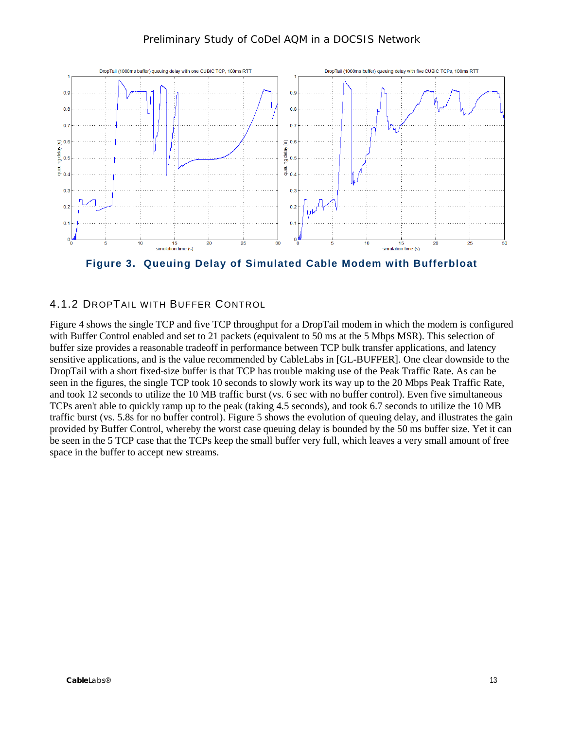

<span id="page-16-1"></span>**Figure 3. Queuing Delay of Simulated Cable Modem with Bufferbloat**

#### <span id="page-16-0"></span>4.1.2 DROPTAIL WITH BUFFER CONTROL

[Figure 4](#page-17-1) shows the single TCP and five TCP throughput for a DropTail modem in which the modem is configured with Buffer Control enabled and set to 21 packets (equivalent to 50 ms at the 5 Mbps MSR). This selection of buffer size provides a reasonable tradeoff in performance between TCP bulk transfer applications, and latency sensitive applications, and is the value recommended by CableLabs in [\[GL-BUFFER\].](#page-30-3) One clear downside to the DropTail with a short fixed-size buffer is that TCP has trouble making use of the Peak Traffic Rate. As can be seen in the figures, the single TCP took 10 seconds to slowly work its way up to the 20 Mbps Peak Traffic Rate, and took 12 seconds to utilize the 10 MB traffic burst (vs. 6 sec with no buffer control). Even five simultaneous TCPs aren't able to quickly ramp up to the peak (taking 4.5 seconds), and took 6.7 seconds to utilize the 10 MB traffic burst (vs. 5.8s for no buffer control). [Figure 5](#page-17-2) shows the evolution of queuing delay, and illustrates the gain provided by Buffer Control, whereby the worst case queuing delay is bounded by the 50 ms buffer size. Yet it can be seen in the 5 TCP case that the TCPs keep the small buffer very full, which leaves a very small amount of free space in the buffer to accept new streams.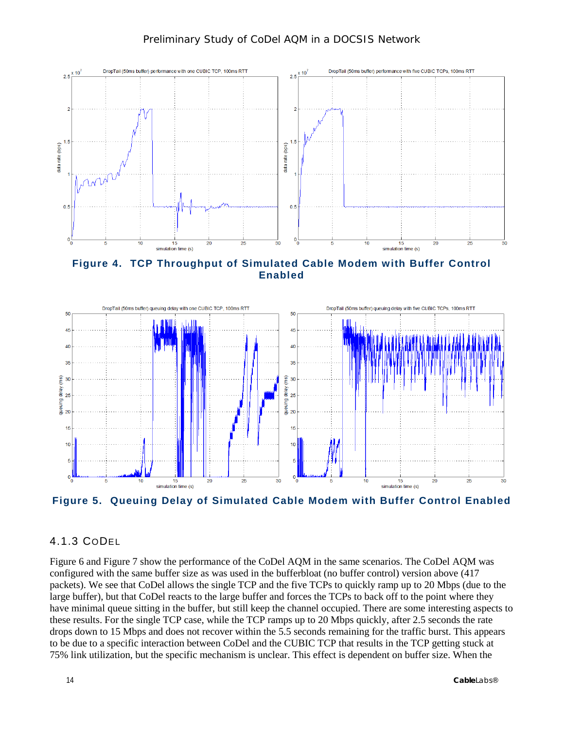

<span id="page-17-1"></span>**Figure 4. TCP Throughput of Simulated Cable Modem with Buffer Control Enabled**



<span id="page-17-2"></span>**Figure 5. Queuing Delay of Simulated Cable Modem with Buffer Control Enabled**

#### <span id="page-17-0"></span>4.1.3 CODEL

[Figure 6](#page-18-2) and [Figure 7](#page-18-3) show the performance of the CoDel AQM in the same scenarios. The CoDel AQM was configured with the same buffer size as was used in the bufferbloat (no buffer control) version above (417 packets). We see that CoDel allows the single TCP and the five TCPs to quickly ramp up to 20 Mbps (due to the large buffer), but that CoDel reacts to the large buffer and forces the TCPs to back off to the point where they have minimal queue sitting in the buffer, but still keep the channel occupied. There are some interesting aspects to these results. For the single TCP case, while the TCP ramps up to 20 Mbps quickly, after 2.5 seconds the rate drops down to 15 Mbps and does not recover within the 5.5 seconds remaining for the traffic burst. This appears to be due to a specific interaction between CoDel and the CUBIC TCP that results in the TCP getting stuck at 75% link utilization, but the specific mechanism is unclear. This effect is dependent on buffer size. When the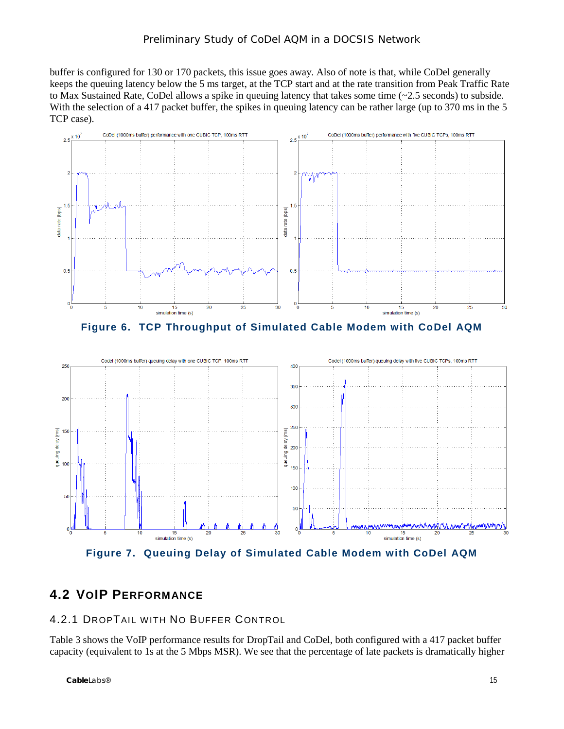buffer is configured for 130 or 170 packets, this issue goes away. Also of note is that, while CoDel generally keeps the queuing latency below the 5 ms target, at the TCP start and at the rate transition from Peak Traffic Rate to Max Sustained Rate, CoDel allows a spike in queuing latency that takes some time (~2.5 seconds) to subside. With the selection of a 417 packet buffer, the spikes in queuing latency can be rather large (up to 370 ms in the 5 TCP case).



<span id="page-18-2"></span>**Figure 6. TCP Throughput of Simulated Cable Modem with CoDel AQM**



<span id="page-18-3"></span>**Figure 7. Queuing Delay of Simulated Cable Modem with CoDel AQM**

## <span id="page-18-0"></span>**4.2 VOIP PERFORMANCE**

#### <span id="page-18-1"></span>4.2.1 DROPTAIL WITH NO BUFFER CONTROL

[Table](#page-19-1) 3 shows the VoIP performance results for DropTail and CoDel, both configured with a 417 packet buffer capacity (equivalent to 1s at the 5 Mbps MSR). We see that the percentage of late packets is dramatically higher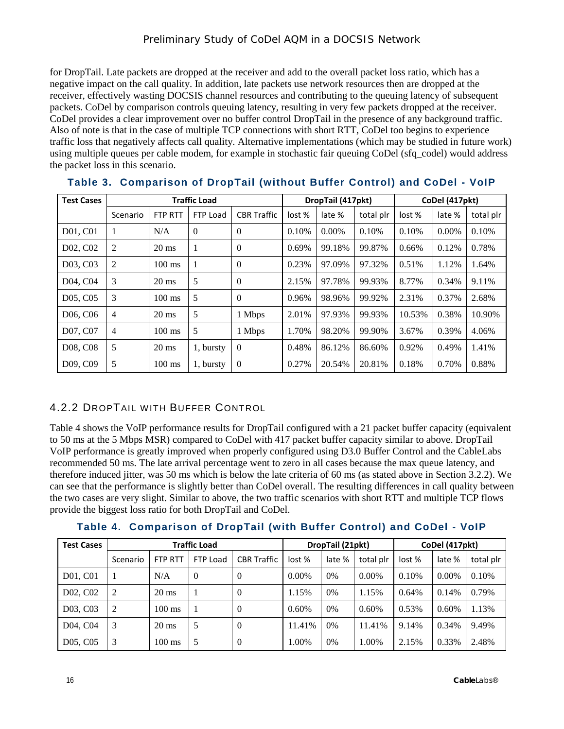for DropTail. Late packets are dropped at the receiver and add to the overall packet loss ratio, which has a negative impact on the call quality. In addition, late packets use network resources then are dropped at the receiver, effectively wasting DOCSIS channel resources and contributing to the queuing latency of subsequent packets. CoDel by comparison controls queuing latency, resulting in very few packets dropped at the receiver. CoDel provides a clear improvement over no buffer control DropTail in the presence of any background traffic. Also of note is that in the case of multiple TCP connections with short RTT, CoDel too begins to experience traffic loss that negatively affects call quality. Alternative implementations (which may be studied in future work) using multiple queues per cable modem, for example in stochastic fair queuing CoDel (sfq\_codel) would address the packet loss in this scenario.

<span id="page-19-1"></span>

| <b>Test Cases</b>                 |                |                  | <b>Traffic Load</b> |                    |        | DropTail (417pkt) |           | CoDel (417pkt) |        |           |  |
|-----------------------------------|----------------|------------------|---------------------|--------------------|--------|-------------------|-----------|----------------|--------|-----------|--|
|                                   | Scenario       | <b>FTP RTT</b>   | FTP Load            | <b>CBR Traffic</b> | lost % | late %            | total plr | lost %         | late % | total plr |  |
| D01, C01                          | 1              | N/A              | $\Omega$            | $\Omega$           | 0.10%  | $0.00\%$          | 0.10%     | 0.10%          | 0.00%  | 0.10%     |  |
| D <sub>02</sub> , C <sub>02</sub> | 2              | $20 \text{ ms}$  | 1                   | $\overline{0}$     | 0.69%  | 99.18%            | 99.87%    | 0.66%          | 0.12%  | 0.78%     |  |
| D03, C03                          | 2              | $100 \text{ ms}$ | 1                   | $\Omega$           | 0.23%  | 97.09%            | 97.32%    | 0.51%          | 1.12%  | 1.64%     |  |
| D04. C04                          | 3              | $20 \text{ ms}$  | 5                   | $\overline{0}$     | 2.15%  | 97.78%            | 99.93%    | 8.77%          | 0.34%  | 9.11%     |  |
| D <sub>05</sub> , C <sub>05</sub> | 3              | $100 \text{ ms}$ | 5                   | $\theta$           | 0.96%  | 98.96%            | 99.92%    | 2.31%          | 0.37%  | 2.68%     |  |
| D <sub>06</sub> . C <sub>06</sub> | $\overline{4}$ | $20 \text{ ms}$  | 5                   | 1 Mbps             | 2.01%  | 97.93%            | 99.93%    | 10.53%         | 0.38%  | 10.90%    |  |
| D07, C07                          | $\overline{4}$ | $100 \text{ ms}$ | 5                   | 1 Mbps             | 1.70%  | 98.20%            | 99.90%    | 3.67%          | 0.39%  | 4.06%     |  |
| D08, C08                          | 5              | $20 \text{ ms}$  | 1, bursty           | $\overline{0}$     | 0.48%  | 86.12%            | 86.60%    | 0.92%          | 0.49%  | 1.41%     |  |
| D09, C09                          | 5              | $100 \text{ ms}$ | 1, bursty           | $\overline{0}$     | 0.27%  | 20.54%            | 20.81%    | 0.18%          | 0.70%  | 0.88%     |  |

**Table 3. Comparison of DropTail (without Buffer Control) and CoDel - VoIP**

#### <span id="page-19-0"></span>4.2.2 DROPTAIL WITH BUFFER CONTROL

[Table](#page-19-2) 4 shows the VoIP performance results for DropTail configured with a 21 packet buffer capacity (equivalent to 50 ms at the 5 Mbps MSR) compared to CoDel with 417 packet buffer capacity similar to above. DropTail VoIP performance is greatly improved when properly configured using D3.0 Buffer Control and the CableLabs recommended 50 ms. The late arrival percentage went to zero in all cases because the max queue latency, and therefore induced jitter, was 50 ms which is below the late criteria of 60 ms (as stated above in Section [3.2.2\)](#page-13-0). We can see that the performance is slightly better than CoDel overall. The resulting differences in call quality between the two cases are very slight. Similar to above, the two traffic scenarios with short RTT and multiple TCP flows provide the biggest loss ratio for both DropTail and CoDel.

<span id="page-19-2"></span>

| <b>Test Cases</b>                 |          |                  | <b>Traffic Load</b> |                    |          | DropTail (21pkt) |           | CoDel (417pkt) |          |           |  |
|-----------------------------------|----------|------------------|---------------------|--------------------|----------|------------------|-----------|----------------|----------|-----------|--|
|                                   | Scenario | <b>FTP RTT</b>   | FTP Load            | <b>CBR Traffic</b> |          | late %           | total plr | lost %         | late %   | total plr |  |
| D01, C01                          |          | N/A              | $\theta$            | $\overline{0}$     | $0.00\%$ | 0%               | $0.00\%$  | 0.10%          | $0.00\%$ | 0.10%     |  |
| D <sub>02</sub> , C <sub>02</sub> | 2        | $20 \text{ ms}$  |                     | $\overline{0}$     | 1.15%    | 0%               | 1.15%     | 0.64%          | 0.14%    | 0.79%     |  |
| D03, C03                          | 2        | 100 ms           |                     | $\overline{0}$     | 0.60%    | 0%               | 0.60%     | 0.53%          | 0.60%    | 1.13%     |  |
| D04, C04                          | 3        | $20 \text{ ms}$  | 5                   | $\Omega$           | 11.41%   | 0%               | 11.41%    | 9.14%          | 0.34%    | 9.49%     |  |
| D <sub>05</sub> , C <sub>05</sub> | 3        | $100 \text{ ms}$ |                     | 0                  | 1.00%    | 0%               | 1.00%     | 2.15%          | 0.33%    | 2.48%     |  |

**Table 4. Comparison of DropTail (with Buffer Control) and CoDel - VoIP**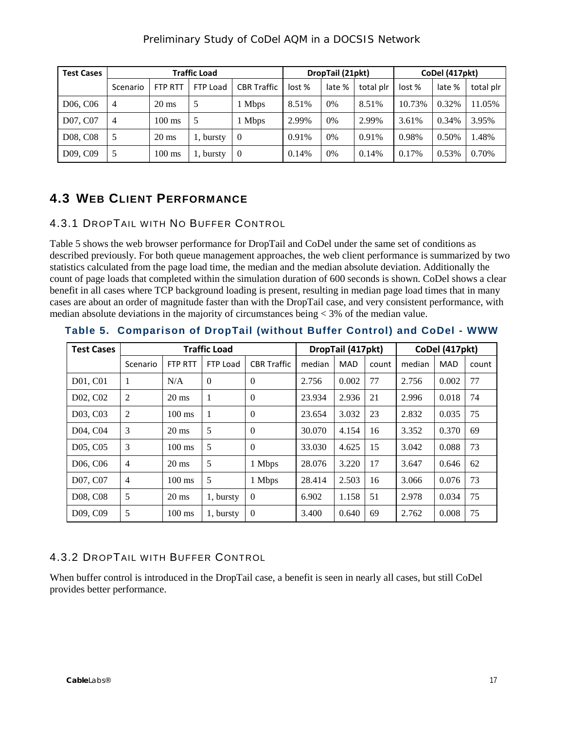| <b>Test Cases</b>                 |                |                  | <b>Traffic Load</b> |                    |        | DropTail (21pkt) |           | CoDel (417pkt) |        |           |  |
|-----------------------------------|----------------|------------------|---------------------|--------------------|--------|------------------|-----------|----------------|--------|-----------|--|
|                                   | Scenario       | <b>FTP RTT</b>   | FTP Load            | <b>CBR Traffic</b> | lost % | late %           | total plr | lost %         | late % | total plr |  |
| D <sub>06</sub> , C <sub>06</sub> | 4              | $20 \text{ ms}$  | 5                   | <b>Mbps</b>        | 8.51%  | 0%               | 8.51%     | 10.73%         | 0.32%  | 11.05%    |  |
| D07, C07                          | $\overline{4}$ | $100 \text{ ms}$ |                     | <b>Mbps</b>        | 2.99%  | 0%               | 2.99%     | 3.61%          | 0.34%  | 3.95%     |  |
| D <sub>08</sub> , C <sub>08</sub> | 5              | $20 \text{ ms}$  | 1, bursty           | $\overline{0}$     | 0.91%  | 0%               | 0.91%     | 0.98%          | 0.50%  | 1.48%     |  |
| D09, C09                          | 5              | 100 ms           | 1, bursty           | $\overline{0}$     | 0.14%  | 0%               | 0.14%     | 0.17%          | 0.53%  | 0.70%     |  |

## <span id="page-20-0"></span>**4.3 WEB CLIENT PERFORMANCE**

#### <span id="page-20-1"></span>4.3.1 DROPTAIL WITH NO BUFFER CONTROL

[Table 5](#page-20-3) shows the web browser performance for DropTail and CoDel under the same set of conditions as described previously. For both queue management approaches, the web client performance is summarized by two statistics calculated from the page load time, the median and the median absolute deviation. Additionally the count of page loads that completed within the simulation duration of 600 seconds is shown. CoDel shows a clear benefit in all cases where TCP background loading is present, resulting in median page load times that in many cases are about an order of magnitude faster than with the DropTail case, and very consistent performance, with median absolute deviations in the majority of circumstances being < 3% of the median value.

#### <span id="page-20-3"></span>**Table 5. Comparison of DropTail (without Buffer Control) and CoDel - WWW**

| <b>Test Cases</b>                 |                |                  | <b>Traffic Load</b> |                    |        | DropTail (417pkt) |       | CoDel (417pkt) |            |       |
|-----------------------------------|----------------|------------------|---------------------|--------------------|--------|-------------------|-------|----------------|------------|-------|
|                                   | Scenario       | <b>FTP RTT</b>   | FTP Load            | <b>CBR Traffic</b> | median | MAD               | count | median         | <b>MAD</b> | count |
| D01, C01                          | -1             | N/A              | $\theta$            | $\Omega$           | 2.756  | 0.002             | 77    | 2.756          | 0.002      | 77    |
| D <sub>02</sub> , C <sub>02</sub> | 2              | $20 \text{ ms}$  | 1                   | $\overline{0}$     | 23.934 | 2.936             | 21    | 2.996          | 0.018      | 74    |
| D03, C03                          | 2              | $100 \text{ ms}$ | 1                   | $\Omega$           | 23.654 | 3.032             | 23    | 2.832          | 0.035      | 75    |
| D04, C04                          | 3              | $20 \text{ ms}$  | 5                   | $\overline{0}$     | 30.070 | 4.154             | 16    | 3.352          | 0.370      | 69    |
| D <sub>05</sub> , C <sub>05</sub> | 3              | $100 \text{ ms}$ | 5                   | $\overline{0}$     | 33.030 | 4.625             | 15    | 3.042          | 0.088      | 73    |
| D <sub>06</sub> , C <sub>06</sub> | $\overline{4}$ | $20 \text{ ms}$  | 5                   | 1 Mbps             | 28.076 | 3.220             | 17    | 3.647          | 0.646      | 62    |
| D07, C07                          | $\overline{4}$ | $100 \text{ ms}$ | 5                   | 1 Mbps             | 28.414 | 2.503             | 16    | 3.066          | 0.076      | 73    |
| D <sub>08</sub> , C <sub>08</sub> | 5              | $20 \text{ ms}$  | 1, bursty           | $\overline{0}$     | 6.902  | 1.158             | 51    | 2.978          | 0.034      | 75    |
| D09, C09                          | 5              | $100 \text{ ms}$ | 1, bursty           | $\overline{0}$     | 3.400  | 0.640             | 69    | 2.762          | 0.008      | 75    |

#### <span id="page-20-2"></span>4.3.2 DROPTAIL WITH BUFFER CONTROL

When buffer control is introduced in the DropTail case, a benefit is seen in nearly all cases, but still CoDel provides better performance.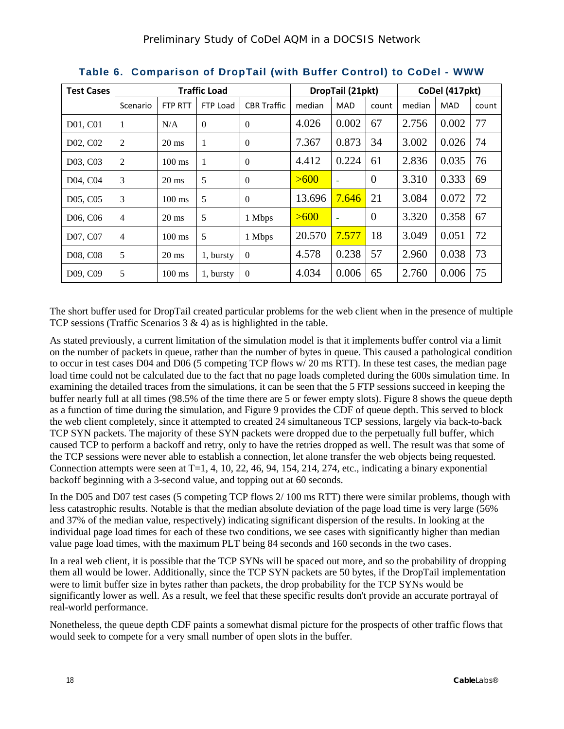<span id="page-21-0"></span>

| <b>Test Cases</b>                 |                |                  | <b>Traffic Load</b> |                    |        | DropTail (21pkt) |          | CoDel (417pkt) |            |       |
|-----------------------------------|----------------|------------------|---------------------|--------------------|--------|------------------|----------|----------------|------------|-------|
|                                   | Scenario       | <b>FTP RTT</b>   | FTP Load            | <b>CBR Traffic</b> |        | <b>MAD</b>       | count    | median         | <b>MAD</b> | count |
| D01, C01                          | 1              | N/A              | $\overline{0}$      | $\theta$           | 4.026  | 0.002            | 67       | 2.756          | 0.002      | 77    |
| D02, C02                          | 2              | $20 \text{ ms}$  | 1                   | $\theta$           | 7.367  | 0.873            | 34       | 3.002          | 0.026      | 74    |
| D03, C03                          | 2              | $100 \text{ ms}$ | 1                   | $\theta$           | 4.412  | 0.224            | 61       | 2.836          | 0.035      | 76    |
| D04. C04                          | 3              | $20 \text{ ms}$  | 5                   | $\Omega$           | >600   |                  | $\theta$ | 3.310          | 0.333      | 69    |
| D <sub>05</sub> , C <sub>05</sub> | 3              | $100 \text{ ms}$ | 5                   | $\Omega$           | 13.696 | 7.646            | 21       | 3.084          | 0.072      | 72    |
| D <sub>06</sub> , C <sub>06</sub> | $\overline{4}$ | $20 \text{ ms}$  | 5                   | 1 Mbps             | >600   |                  | $\Omega$ | 3.320          | 0.358      | 67    |
| D07, C07                          | $\overline{4}$ | $100 \text{ ms}$ | 5                   | 1 Mbps             | 20.570 | 7.577            | 18       | 3.049          | 0.051      | 72    |
| D <sub>08</sub> , C <sub>08</sub> | 5              | $20 \text{ ms}$  | 1, bursty           | $\Omega$           | 4.578  | 0.238            | 57       | 2.960          | 0.038      | 73    |
| D <sub>09</sub> , C <sub>09</sub> | 5              | $100 \text{ ms}$ | 1, bursty           | $\overline{0}$     | 4.034  | 0.006            | 65       | 2.760          | 0.006      | 75    |

**Table 6. Comparison of DropTail (with Buffer Control) to CoDel - WWW**

The short buffer used for DropTail created particular problems for the web client when in the presence of multiple TCP sessions (Traffic Scenarios  $3 \& 4$ ) as is highlighted in the table.

As stated previously, a current limitation of the simulation model is that it implements buffer control via a limit on the number of packets in queue, rather than the number of bytes in queue. This caused a pathological condition to occur in test cases D04 and D06 (5 competing TCP flows w/ 20 ms RTT). In these test cases, the median page load time could not be calculated due to the fact that no page loads completed during the 600s simulation time. In examining the detailed traces from the simulations, it can be seen that the 5 FTP sessions succeed in keeping the buffer nearly full at all times (98.5% of the time there are 5 or fewer empty slots). [Figure 8](#page-22-0) shows the queue depth as a function of time during the simulation, and [Figure 9](#page-23-1) provides the CDF of queue depth. This served to block the web client completely, since it attempted to created 24 simultaneous TCP sessions, largely via back-to-back TCP SYN packets. The majority of these SYN packets were dropped due to the perpetually full buffer, which caused TCP to perform a backoff and retry, only to have the retries dropped as well. The result was that some of the TCP sessions were never able to establish a connection, let alone transfer the web objects being requested. Connection attempts were seen at  $T=1, 4, 10, 22, 46, 94, 154, 214, 274,$  etc., indicating a binary exponential backoff beginning with a 3-second value, and topping out at 60 seconds.

In the D05 and D07 test cases (5 competing TCP flows 2/100 ms RTT) there were similar problems, though with less catastrophic results. Notable is that the median absolute deviation of the page load time is very large (56% and 37% of the median value, respectively) indicating significant dispersion of the results. In looking at the individual page load times for each of these two conditions, we see cases with significantly higher than median value page load times, with the maximum PLT being 84 seconds and 160 seconds in the two cases.

In a real web client, it is possible that the TCP SYNs will be spaced out more, and so the probability of dropping them all would be lower. Additionally, since the TCP SYN packets are 50 bytes, if the DropTail implementation were to limit buffer size in bytes rather than packets, the drop probability for the TCP SYNs would be significantly lower as well. As a result, we feel that these specific results don't provide an accurate portrayal of real-world performance.

Nonetheless, the queue depth CDF paints a somewhat dismal picture for the prospects of other traffic flows that would seek to compete for a very small number of open slots in the buffer.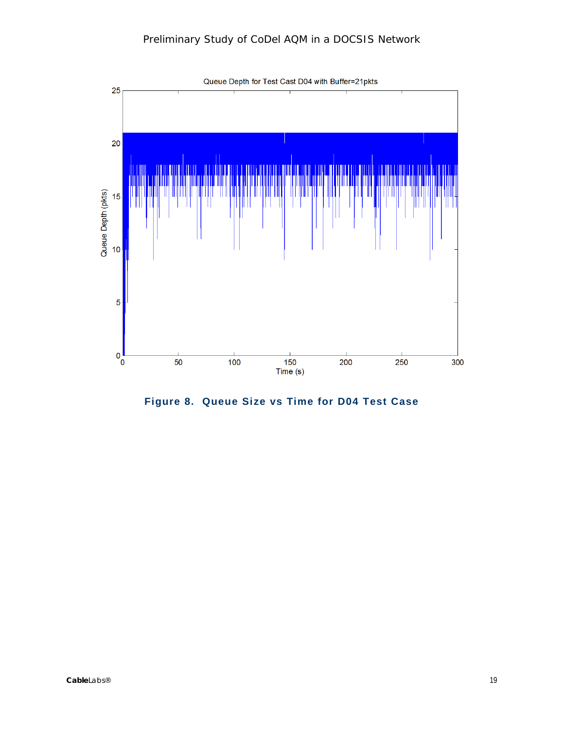

<span id="page-22-0"></span>**Figure 8. Queue Size vs Time for D04 Test Case**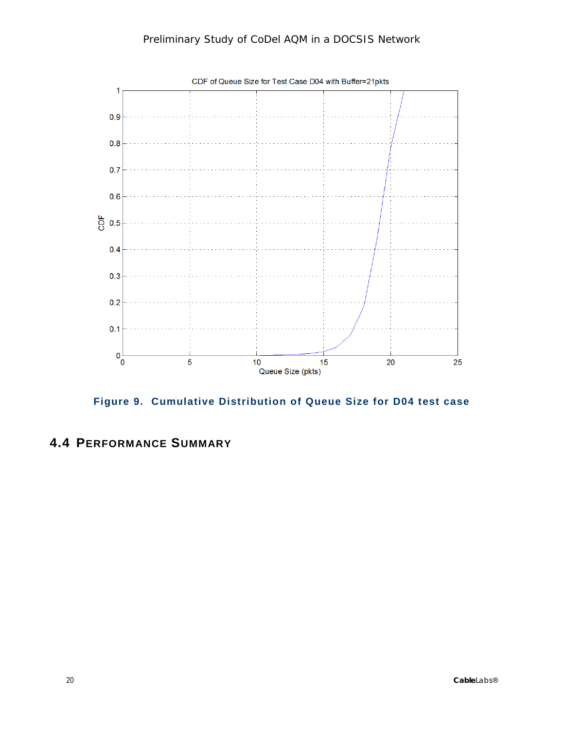

**Figure 9. Cumulative Distribution of Queue Size for D04 test case**

## <span id="page-23-1"></span><span id="page-23-0"></span>**4.4 PERFORMANCE SUMMARY**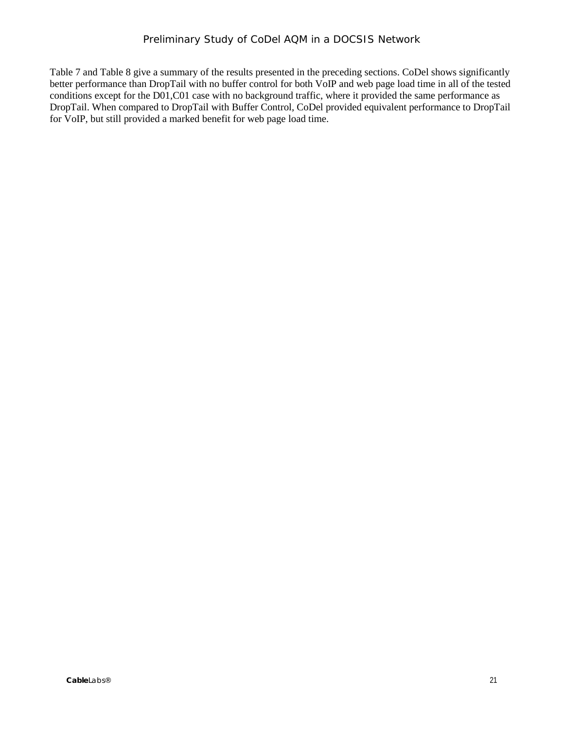<span id="page-24-0"></span>[Table 7](#page-24-0) an[d Table 8](#page-25-1) give a summary of the results presented in the preceding sections. CoDel shows significantly better performance than DropTail with no buffer control for both VoIP and web page load time in all of the tested conditions except for the D01,C01 case with no background traffic, where it provided the same performance as DropTail. When compared to DropTail with Buffer Control, CoDel provided equivalent performance to DropTail for VoIP, but still provided a marked benefit for web page load time.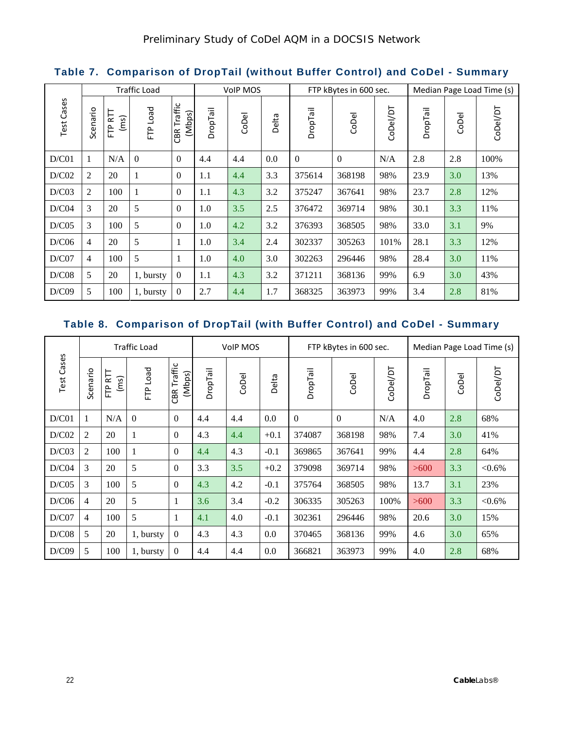#### <span id="page-25-0"></span>**Table 7. Comparison of DropTail (without Buffer Control) and CoDel - Summary**

|               |                |                 | <b>Traffic Load</b> |                          |                 | <b>VoIP MOS</b> |       |          | FTP kBytes in 600 sec. |          |          |       | Median Page Load Time (s) |
|---------------|----------------|-----------------|---------------------|--------------------------|-----------------|-----------------|-------|----------|------------------------|----------|----------|-------|---------------------------|
| Cases<br>Test | Scenario       | FTP RTT<br>(ms) | Load<br>È           | Traffic<br>(Mbps)<br>CBR | <b>DropTail</b> | CoDel           | Delta | DropTail | CoDel                  | CoDel/DT | DropTail | CoDel | CoDel/DT                  |
| D/C01         | 1              | N/A             | $\boldsymbol{0}$    | $\theta$                 | 4.4             | 4.4             | 0.0   | $\Omega$ | $\Omega$               | N/A      | 2.8      | 2.8   | 100%                      |
| D/C02         | 2              | 20              | $\mathbf{1}$        | $\theta$                 | 1.1             | 4.4             | 3.3   | 375614   | 368198                 | 98%      | 23.9     | 3.0   | 13%                       |
| D/C03         | 2              | 100             | 1                   | $\overline{0}$           | 1.1             | 4.3             | 3.2   | 375247   | 367641                 | 98%      | 23.7     | 2.8   | 12%                       |
| D/C04         | 3              | 20              | 5                   | $\overline{0}$           | 1.0             | 3.5             | 2.5   | 376472   | 369714                 | 98%      | 30.1     | 3.3   | 11%                       |
| D/C05         | 3              | 100             | 5                   | $\Omega$                 | 1.0             | 4.2             | 3.2   | 376393   | 368505                 | 98%      | 33.0     | 3.1   | 9%                        |
| D/C06         | $\overline{4}$ | 20              | 5                   |                          | 1.0             | 3.4             | 2.4   | 302337   | 305263                 | 101%     | 28.1     | 3.3   | 12%                       |
| D/C07         | $\overline{4}$ | 100             | 5                   | 1                        | 1.0             | 4.0             | 3.0   | 302263   | 296446                 | 98%      | 28.4     | 3.0   | 11%                       |
| D/C08         | 5              | 20              | 1, bursty           | $\overline{0}$           | 1.1             | 4.3             | 3.2   | 371211   | 368136                 | 99%      | 6.9      | 3.0   | 43%                       |
| D/C09         | 5              | 100             | 1, bursty           | $\overline{0}$           | 2.7             | 4.4             | 1.7   | 368325   | 363973                 | 99%      | 3.4      | 2.8   | 81%                       |

#### <span id="page-25-1"></span>**Table 8. Comparison of DropTail (with Buffer Control) and CoDel - Summary**

|               | <b>Traffic Load</b> |                 |              | <b>VoIP MOS</b>                 |          | FTP kBytes in 600 sec. |        |          | Median Page Load Time (s) |          |          |       |           |
|---------------|---------------------|-----------------|--------------|---------------------------------|----------|------------------------|--------|----------|---------------------------|----------|----------|-------|-----------|
| Cases<br>Test | Scenario            | FTP RTT<br>(ms) | FTP Load     | Traffic<br>(Mbps)<br><b>CBR</b> | DropTail | CoDel                  | Delta  | DropTail | CoDel                     | CoDel/DT | DropTail | CoDel | CoDel/DT  |
| D/C01         | $\mathbf{1}$        | N/A             | $\mathbf{0}$ | $\theta$                        | 4.4      | 4.4                    | 0.0    | $\theta$ | $\overline{0}$            | N/A      | 4.0      | 2.8   | 68%       |
| D/C02         | 2                   | 20              | 1            | $\theta$                        | 4.3      | 4.4                    | $+0.1$ | 374087   | 368198                    | 98%      | 7.4      | 3.0   | 41%       |
| D/C03         | 2                   | 100             | $\mathbf{1}$ | $\theta$                        | 4.4      | 4.3                    | $-0.1$ | 369865   | 367641                    | 99%      | 4.4      | 2.8   | 64%       |
| D/C04         | 3                   | 20              | 5            | $\theta$                        | 3.3      | 3.5                    | $+0.2$ | 379098   | 369714                    | 98%      | >600     | 3.3   | $< 0.6\%$ |
| D/C05         | 3                   | 100             | 5            | $\theta$                        | 4.3      | 4.2                    | $-0.1$ | 375764   | 368505                    | 98%      | 13.7     | 3.1   | 23%       |
| D/C06         | $\overline{4}$      | 20              | 5            | 1                               | 3.6      | 3.4                    | $-0.2$ | 306335   | 305263                    | 100%     | >600     | 3.3   | $< 0.6\%$ |
| D/C07         | $\overline{4}$      | 100             | 5            | 1                               | 4.1      | 4.0                    | $-0.1$ | 302361   | 296446                    | 98%      | 20.6     | 3.0   | 15%       |
| D/C08         | 5                   | 20              | 1, bursty    | $\overline{0}$                  | 4.3      | 4.3                    | 0.0    | 370465   | 368136                    | 99%      | 4.6      | 3.0   | 65%       |
| D/C09         | 5                   | 100             | 1, bursty    | $\theta$                        | 4.4      | 4.4                    | 0.0    | 366821   | 363973                    | 99%      | 4.0      | 2.8   | 68%       |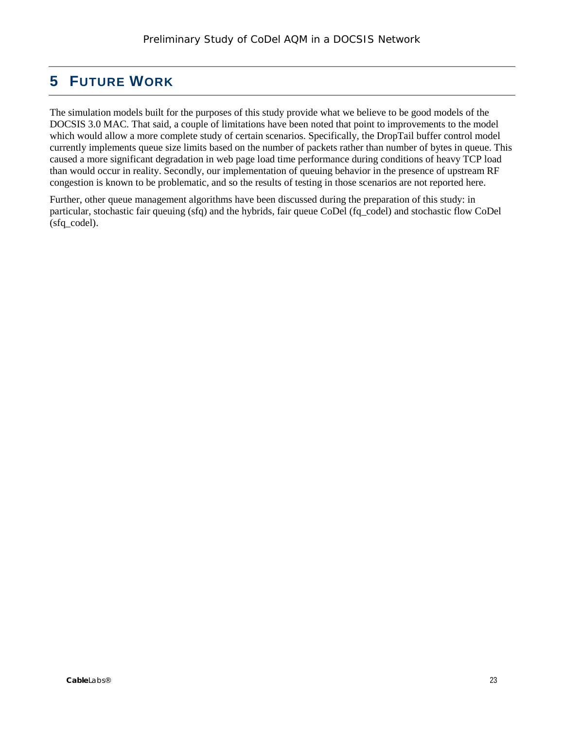## <span id="page-26-0"></span>**5 FUTURE WORK**

The simulation models built for the purposes of this study provide what we believe to be good models of the DOCSIS 3.0 MAC. That said, a couple of limitations have been noted that point to improvements to the model which would allow a more complete study of certain scenarios. Specifically, the DropTail buffer control model currently implements queue size limits based on the number of packets rather than number of bytes in queue. This caused a more significant degradation in web page load time performance during conditions of heavy TCP load than would occur in reality. Secondly, our implementation of queuing behavior in the presence of upstream RF congestion is known to be problematic, and so the results of testing in those scenarios are not reported here.

Further, other queue management algorithms have been discussed during the preparation of this study: in particular, stochastic fair queuing (sfq) and the hybrids, fair queue CoDel (fq\_codel) and stochastic flow CoDel (sfq\_codel).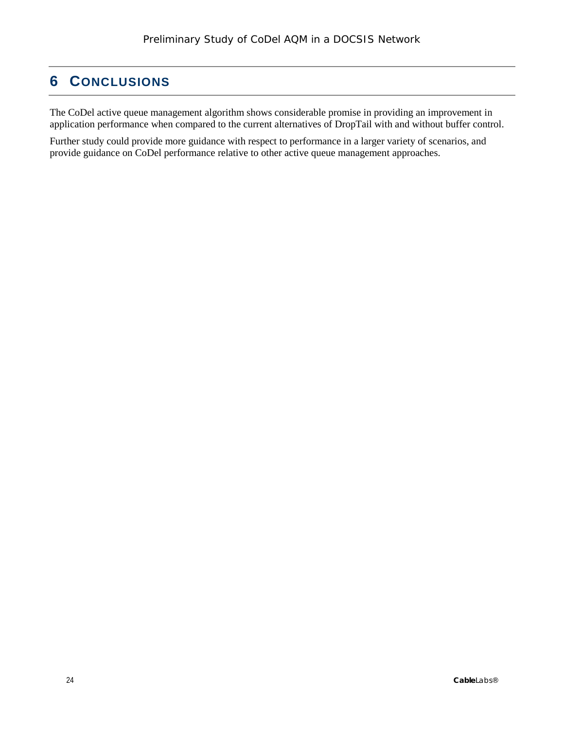## <span id="page-27-0"></span>**6 CONCLUSIONS**

The CoDel active queue management algorithm shows considerable promise in providing an improvement in application performance when compared to the current alternatives of DropTail with and without buffer control.

Further study could provide more guidance with respect to performance in a larger variety of scenarios, and provide guidance on CoDel performance relative to other active queue management approaches.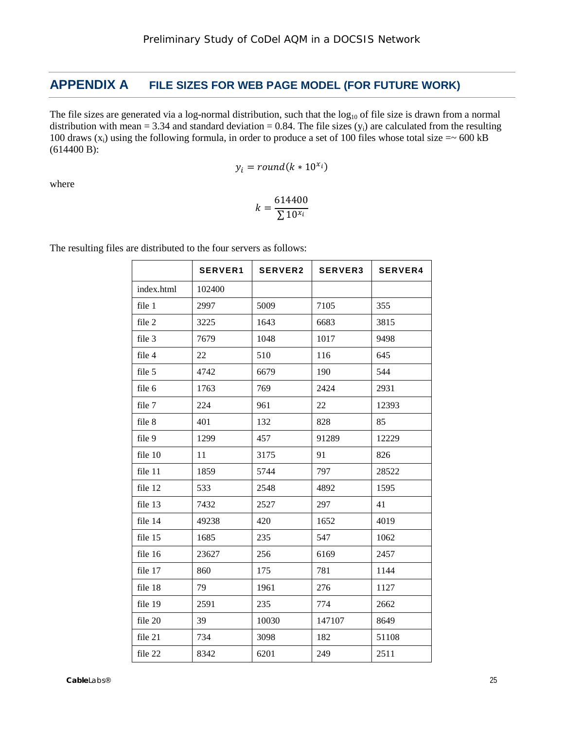## <span id="page-28-0"></span>**APPENDIX A FILE SIZES FOR WEB PAGE MODEL (FOR FUTURE WORK)**

The file sizes are generated via a log-normal distribution, such that the  $log_{10}$  of file size is drawn from a normal distribution with mean = 3.34 and standard deviation = 0.84. The file sizes  $(y_i)$  are calculated from the resulting 100 draws  $(x_i)$  using the following formula, in order to produce a set of 100 files whose total size  $=$  600 kB (614400 B):

$$
y_i = round(k * 10^{x_i})
$$

where

$$
k = \frac{614400}{\sum 10^{x_i}}
$$

|            | <b>SERVER1</b> | <b>SERVER2</b> | <b>SERVER3</b> | <b>SERVER4</b> |
|------------|----------------|----------------|----------------|----------------|
| index.html | 102400         |                |                |                |
| file 1     | 2997           | 5009           | 7105           | 355            |
| file 2     | 3225           | 1643           | 6683           | 3815           |
| file 3     | 7679           | 1048           | 1017           | 9498           |
| file 4     | 22             | 510            | 116            | 645            |
| file 5     | 4742           | 6679           | 190            | 544            |
| file 6     | 1763           | 769            | 2424           | 2931           |
| file 7     | 224            | 961            | 22             | 12393          |
| file 8     | 401            | 132            | 828            | 85             |
| file 9     | 1299           | 457            | 91289          | 12229          |
| file 10    | 11             | 3175           | 91             | 826            |
| file 11    | 1859           | 5744           | 797            | 28522          |
| file 12    | 533            | 2548           | 4892           | 1595           |
| file 13    | 7432           | 2527           | 297            | 41             |
| file 14    | 49238          | 420            | 1652           | 4019           |
| file 15    | 1685           | 235            | 547            | 1062           |
| file 16    | 23627          | 256            | 6169           | 2457           |
| file 17    | 860            | 175            | 781            | 1144           |
| file 18    | 79             | 1961           | 276            | 1127           |
| file 19    | 2591           | 235            | 774            | 2662           |
| file 20    | 39             | 10030          | 147107         | 8649           |
| file 21    | 734            | 3098           | 182            | 51108          |
| file 22    | 8342           | 6201           | 249            | 2511           |
|            |                |                |                |                |

The resulting files are distributed to the four servers as follows: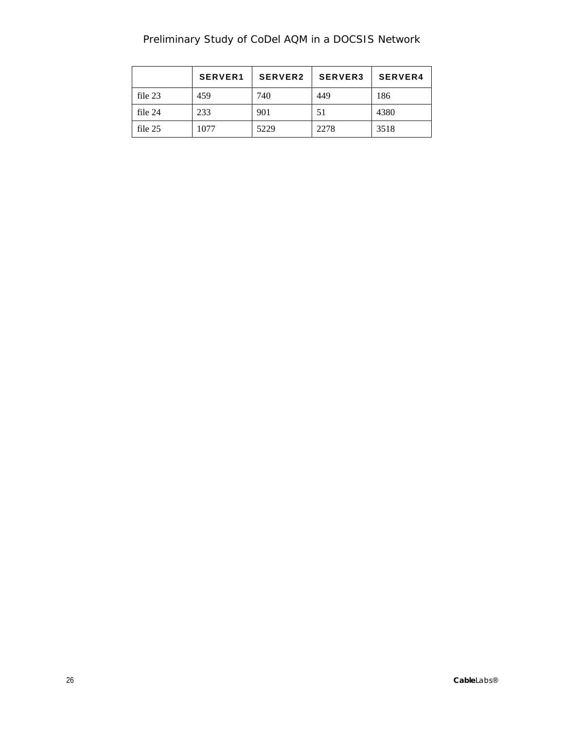|         | <b>SERVER1</b> | <b>SERVER2</b> | <b>SERVER3</b> | <b>SERVER4</b> |
|---------|----------------|----------------|----------------|----------------|
| file 23 | 459            | 740            | 449            | 186            |
| file 24 | 233            | 901            | 51             | 4380           |
| file 25 | 1077           | 5229           | 2278           | 3518           |